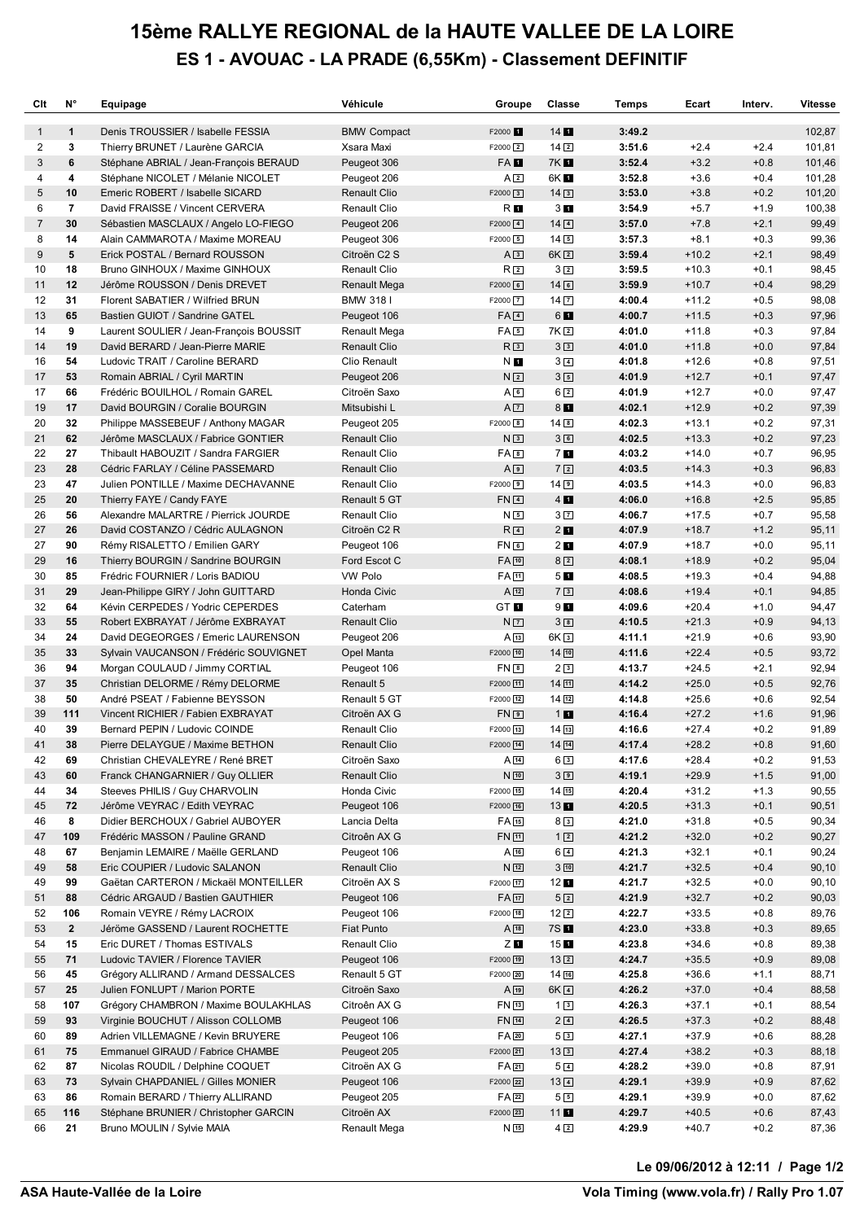## **15ème RALLYE REGIONAL de la HAUTE VALLEE DE LA LOIRE ES 1 - AVOUAC - LA PRADE (6,55Km) - Classement DEFINITIF**

| Clt          | N°             | Equipage                                                              | Véhicule                                   | Groupe                         | Classe                        | Temps            | Ecart              | Interv.          | <b>Vitesse</b> |
|--------------|----------------|-----------------------------------------------------------------------|--------------------------------------------|--------------------------------|-------------------------------|------------------|--------------------|------------------|----------------|
| $\mathbf{1}$ | 1              | Denis TROUSSIER / Isabelle FESSIA                                     | <b>BMW Compact</b>                         | F2000 1                        | $14$ $\blacksquare$           | 3:49.2           |                    |                  | 102,87         |
| 2            | 3              | Thierry BRUNET / Laurène GARCIA                                       | Xsara Maxi                                 | $F2000$ $2$                    | $14\sqrt{2}$                  | 3:51.6           | $+2.4$             | $+2.4$           | 101,81         |
| 3            | 6              | Stéphane ABRIAL / Jean-François BERAUD                                | Peugeot 306                                | FA <b>II</b>                   | 7K <b>11</b>                  | 3:52.4           | $+3.2$             | $+0.8$           | 101,46         |
| 4            | 4              | Stéphane NICOLET / Mélanie NICOLET                                    | Peugeot 206                                | A2                             | 6K <b>1</b>                   | 3:52.8           | $+3.6$             | $+0.4$           | 101,28         |
| 5            | 10             | Emeric ROBERT / Isabelle SICARD                                       | <b>Renault Clio</b>                        | $F2000$ 3                      | $14\sqrt{3}$                  | 3:53.0           | $+3.8$             | $+0.2$           | 101,20         |
| 6            | $\overline{7}$ | David FRAISSE / Vincent CERVERA                                       | Renault Clio                               | R <b>II</b>                    | 3 <sub>II</sub>               | 3:54.9           | $+5.7$             | $+1.9$           | 100,38         |
| 7            | 30             | Sébastien MASCLAUX / Angelo LO-FIEGO                                  | Peugeot 206                                | $F2000$ $4$                    | $14\sqrt{4}$                  | 3:57.0           | $+7.8$             | $+2.1$           | 99,49          |
| 8            | 14             | Alain CAMMAROTA / Maxime MOREAU                                       | Peugeot 306                                | $F2000$ 5                      | $14\sqrt{5}$                  | 3:57.3           | $+8.1$             | $+0.3$           | 99,36          |
| 9            | 5              | Erick POSTAL / Bernard ROUSSON                                        | Citroën C <sub>2</sub> S                   | A <sub>3</sub>                 | 6K <sub>2</sub>               | 3:59.4           | $+10.2$            | $+2.1$           | 98,49          |
| 10<br>11     | 18<br>12       | Bruno GINHOUX / Maxime GINHOUX<br>Jérôme ROUSSON / Denis DREVET       | <b>Renault Clio</b><br><b>Renault Mega</b> | R <sub>2</sub><br>$F2000$ 6    | 32<br>$14$ 6                  | 3:59.5<br>3:59.9 | $+10.3$<br>$+10.7$ | $+0.1$<br>$+0.4$ | 98,45<br>98,29 |
| 12           | 31             | Florent SABATIER / Wilfried BRUN                                      | <b>BMW 3181</b>                            | F2000 7                        | $14\sqrt{7}$                  | 4:00.4           | $+11.2$            | $+0.5$           | 98,08          |
| 13           | 65             | Bastien GUIOT / Sandrine GATEL                                        | Peugeot 106                                | FA <sub>1</sub>                | $6$ $\blacksquare$            | 4:00.7           | $+11.5$            | $+0.3$           | 97,96          |
| 14           | 9              | Laurent SOULIER / Jean-François BOUSSIT                               | Renault Mega                               | FA 5                           | 7K 2                          | 4:01.0           | $+11.8$            | $+0.3$           | 97,84          |
| 14           | 19             | David BERARD / Jean-Pierre MARIE                                      | <b>Renault Clio</b>                        | $R_3$                          | 3 <sup>3</sup>                | 4:01.0           | $+11.8$            | $+0.0$           | 97,84          |
| 16           | 54             | Ludovic TRAIT / Caroline BERARD                                       | Clio Renault                               | N O                            | $3\sqrt{4}$                   | 4:01.8           | $+12.6$            | $+0.8$           | 97,51          |
| 17           | 53             | Romain ABRIAL / Cyril MARTIN                                          | Peugeot 206                                | N <sub>2</sub>                 | 3 <sub>5</sub>                | 4:01.9           | $+12.7$            | $+0.1$           | 97,47          |
| 17           | 66             | Frédéric BOUILHOL / Romain GAREL                                      | Citroën Saxo                               | $A \Box$                       | $6\sqrt{2}$                   | 4:01.9           | $+12.7$            | $+0.0$           | 97,47          |
| 19           | 17             | David BOURGIN / Coralie BOURGIN                                       | Mitsubishi L                               | A <sub>T</sub>                 | $8$ $\blacksquare$            | 4:02.1           | $+12.9$            | $+0.2$           | 97,39          |
| 20           | 32             | Philippe MASSEBEUF / Anthony MAGAR                                    | Peugeot 205                                | F2000 8                        | $14$ $8$                      | 4:02.3           | $+13.1$            | $+0.2$           | 97,31          |
| 21           | 62             | Jérôme MASCLAUX / Fabrice GONTIER                                     | <b>Renault Clio</b>                        | N <sub>3</sub>                 | 36                            | 4:02.5           | $+13.3$            | $+0.2$           | 97,23          |
| 22           | 27             | Thibault HABOUZIT / Sandra FARGIER                                    | Renault Clio                               | $FA$ $B$                       | 7 O                           | 4:03.2           | $+14.0$            | $+0.7$           | 96,95          |
| 23           | 28             | Cédric FARLAY / Céline PASSEMARD                                      | <b>Renault Clio</b>                        | $A \Box$                       | 72                            | 4:03.5           | $+14.3$            | $+0.3$           | 96,83          |
| 23           | 47             | Julien PONTILLE / Maxime DECHAVANNE                                   | Renault Clio                               | F2000 9                        | 149                           | 4:03.5           | $+14.3$            | $+0.0$           | 96,83          |
| 25           | 20             | Thierry FAYE / Candy FAYE                                             | Renault 5 GT                               | $FN$ <sup><math>4</math></sup> | 4                             | 4:06.0           | $+16.8$            | $+2.5$           | 95,85          |
| 26           | 56             | Alexandre MALARTRE / Pierrick JOURDE                                  | Renault Clio                               | N <sub>5</sub>                 | $3\overline{7}$               | 4:06.7           | $+17.5$            | $+0.7$           | 95,58          |
| 27           | 26<br>90       | David COSTANZO / Cédric AULAGNON                                      | Citroën C2 R                               | R <sub>4</sub>                 | $2$ $\blacksquare$            | 4:07.9           | $+18.7$            | $+1.2$           | 95,11          |
| 27<br>29     | 16             | Rémy RISALETTO / Emilien GARY<br>Thierry BOURGIN / Sandrine BOURGIN   | Peugeot 106<br>Ford Escot C                | $FN$ $6$<br><b>FA</b> 回        | 2 <sub>1</sub><br>$8\sqrt{2}$ | 4:07.9<br>4:08.1 | $+18.7$<br>$+18.9$ | $+0.0$<br>$+0.2$ | 95,11<br>95,04 |
| 30           | 85             | Frédric FOURNIER / Loris BADIOU                                       | <b>VW Polo</b>                             | <b>FA</b> 団                    | 5 F                           | 4:08.5           | $+19.3$            | $+0.4$           | 94,88          |
| 31           | 29             | Jean-Philippe GIRY / John GUITTARD                                    | Honda Civic                                | $A$ <sup>12</sup>              | 73                            | 4:08.6           | $+19.4$            | $+0.1$           | 94,85          |
| 32           | 64             | Kévin CERPEDES / Yodric CEPERDES                                      | Caterham                                   | GT 11                          | $9$ $\blacksquare$            | 4:09.6           | $+20.4$            | $+1.0$           | 94,47          |
| 33           | 55             | Robert EXBRAYAT / Jérôme EXBRAYAT                                     | <b>Renault Clio</b>                        | N <sub>Z</sub>                 | 3 <sup>8</sup>                | 4:10.5           | $+21.3$            | $+0.9$           | 94,13          |
| 34           | 24             | David DEGEORGES / Emeric LAURENSON                                    | Peugeot 206                                | A <sub>13</sub>                | 6K 3                          | 4:11.1           | $+21.9$            | $+0.6$           | 93,90          |
| 35           | 33             | Sylvain VAUCANSON / Frédéric SOUVIGNET                                | Opel Manta                                 | F2000 10                       | 14[10]                        | 4:11.6           | $+22.4$            | $+0.5$           | 93,72          |
| 36           | 94             | Morgan COULAUD / Jimmy CORTIAL                                        | Peugeot 106                                | $FN$ <sup>8</sup>              | 23                            | 4:13.7           | $+24.5$            | $+2.1$           | 92,94          |
| 37           | 35             | Christian DELORME / Rémy DELORME                                      | Renault 5                                  | F2000 11                       | $14 \overline{11}$            | 4:14.2           | $+25.0$            | $+0.5$           | 92,76          |
| 38           | 50             | André PSEAT / Fabienne BEYSSON                                        | Renault 5 GT                               | F2000 12                       | $14\sqrt{12}$                 | 4:14.8           | $+25.6$            | $+0.6$           | 92,54          |
| 39           | 111            | Vincent RICHIER / Fabien EXBRAYAT                                     | Citroën AX G                               | $FN \Box$                      | $1$ $\blacksquare$            | 4:16.4           | $+27.2$            | $+1.6$           | 91,96          |
| 40           | 39             | Bernard PEPIN / Ludovic COINDE                                        | Renault Clio                               | F2000 [13]                     | 14[13]                        | 4:16.6           | $+27.4$            | $+0.2$           | 91,89          |
| 41           | 38             | Pierre DELAYGUE / Maxime BETHON                                       | Renault Clio                               | F2000 [14]                     | $14 \overline{14}$            | 4:17.4           | $+28.2$            | $+0.8$           | 91,60          |
| 42           | 69             | Christian CHEVALEYRE / René BRET                                      | Citroën Saxo                               | $A\overline{14}$               | 63                            | 4:17.6           | $+28.4$            | $+0.2$           | 91,53          |
| 43           | 60             | Franck CHANGARNIER / Guy OLLIER                                       | <b>Renault Clio</b>                        | $N_{10}$                       | 3 <sup>9</sup>                | 4:19.1           | $+29.9$            | $+1.5$           | 91,00          |
| 44<br>45     | 34<br>72       | Steeves PHILIS / Guy CHARVOLIN<br>Jérôme VEYRAC / Edith VEYRAC        | Honda Civic<br>Peugeot 106                 | F2000 15<br>F2000 16           | 1415<br>13                    | 4:20.4<br>4:20.5 | $+31.2$<br>$+31.3$ | $+1.3$<br>$+0.1$ | 90,55<br>90,51 |
| 46           | 8              | Didier BERCHOUX / Gabriel AUBOYER                                     | Lancia Delta                               | FA 15                          | 8 <sup>3</sup>                | 4:21.0           | $+31.8$            | $+0.5$           | 90,34          |
| 47           | 109            | Frédéric MASSON / Pauline GRAND                                       | Citroên AX G                               | $FN$ $n$                       | $1\vert 2\rangle$             | 4:21.2           | $+32.0$            | $+0.2$           | 90,27          |
| 48           | 67             | Benjamin LEMAIRE / Maëlle GERLAND                                     | Peugeot 106                                | A16                            | $6\sqrt{4}$                   | 4:21.3           | $+32.1$            | $+0.1$           | 90,24          |
| 49           | 58             | Eric COUPIER / Ludovic SALANON                                        | <b>Renault Clio</b>                        | N <sub>12</sub>                | $3\sqrt{10}$                  | 4:21.7           | $+32.5$            | $+0.4$           | 90, 10         |
| 49           | 99             | Gaëtan CARTERON / Mickaël MONTEILLER                                  | Citroën AX S                               | F2000 17                       | $12$ $\blacksquare$           | 4:21.7           | $+32.5$            | $+0.0$           | 90,10          |
| 51           | 88             | Cédric ARGAUD / Bastien GAUTHIER                                      | Peugeot 106                                | <b>FA</b> <sub>[7]</sub>       | $5\sqrt{2}$                   | 4:21.9           | $+32.7$            | $+0.2$           | 90,03          |
| 52           | 106            | Romain VEYRE / Rémy LACROIX                                           | Peugeot 106                                | F2000 18                       | $12\sqrt{2}$                  | 4:22.7           | $+33.5$            | $+0.8$           | 89,76          |
| 53           | $\mathbf{2}$   | Jéröme GASSEND / Laurent ROCHETTE                                     | Fiat Punto                                 | $A$ 18                         | 7S <b>11</b>                  | 4:23.0           | $+33.8$            | $+0.3$           | 89,65          |
| 54           | 15             | Eric DURET / Thomas ESTIVALS                                          | Renault Clio                               | Zш                             | $15$ $\blacksquare$           | 4:23.8           | $+34.6$            | $+0.8$           | 89,38          |
| 55           | 71             | Ludovic TAVIER / Florence TAVIER                                      | Peugeot 106                                | F2000 19                       | $13\sqrt{2}$                  | 4:24.7           | $+35.5$            | $+0.9$           | 89,08          |
| 56           | 45             | Grégory ALLIRAND / Armand DESSALCES                                   | Renault 5 GT                               | F2000 20                       | 14 16                         | 4:25.8           | $+36.6$            | $+1.1$           | 88,71          |
| 57           | 25             | Julien FONLUPT / Marion PORTE                                         | Citroën Saxo                               | $A = 19$                       | $6K$ $4$                      | 4:26.2           | $+37.0$            | $+0.4$           | 88,58          |
| 58           | 107            | Grégory CHAMBRON / Maxime BOULAKHLAS                                  | Citroên AX G                               | FN 13                          | $1\vert 3 \vert$              | 4:26.3           | $+37.1$            | $+0.1$           | 88,54          |
| 59           | 93             | Virginie BOUCHUT / Alisson COLLOMB                                    | Peugeot 106                                | FN 14                          | $2\sqrt{4}$                   | 4:26.5           | $+37.3$            | $+0.2$           | 88,48          |
| 60<br>61     | 89<br>75       | Adrien VILLEMAGNE / Kevin BRUYERE<br>Emmanuel GIRAUD / Fabrice CHAMBE | Peugeot 106<br>Peugeot 205                 | FA 20<br>F2000 21              | 53<br>$13\sqrt{3}$            | 4:27.1<br>4:27.4 | $+37.9$<br>$+38.2$ | $+0.6$<br>$+0.3$ | 88,28<br>88,18 |
| 62           | 87             | Nicolas ROUDIL / Delphine COQUET                                      | Citroën AX G                               | FA 21                          | $5\sqrt{4}$                   | 4:28.2           | $+39.0$            | $+0.8$           | 87,91          |
| 63           | 73             | Sylvain CHAPDANIEL / Gilles MONIER                                    | Peugeot 106                                | F2000 22                       | $13\sqrt{4}$                  | 4:29.1           | $+39.9$            | $+0.9$           | 87,62          |
| 63           | 86             | Romain BERARD / Thierry ALLIRAND                                      | Peugeot 205                                | FA 22                          | 55                            | 4:29.1           | $+39.9$            | $+0.0$           | 87,62          |
| 65           | 116            | Stéphane BRUNIER / Christopher GARCIN                                 | Citroën AX                                 | F2000 23                       | $11$ $\blacksquare$           | 4:29.7           | $+40.5$            | $+0.6$           | 87,43          |
| 66           | 21             | Bruno MOULIN / Sylvie MAIA                                            | Renault Mega                               | $N_{15}$                       | $4\sqrt{2}$                   | 4:29.9           | $+40.7$            | $+0.2$           | 87,36          |
|              |                |                                                                       |                                            |                                |                               |                  |                    |                  |                |

<u>Volanda variante de la provincia de la pro</u> **Le 09/06/2012 à 12:11 / Page 1/2**